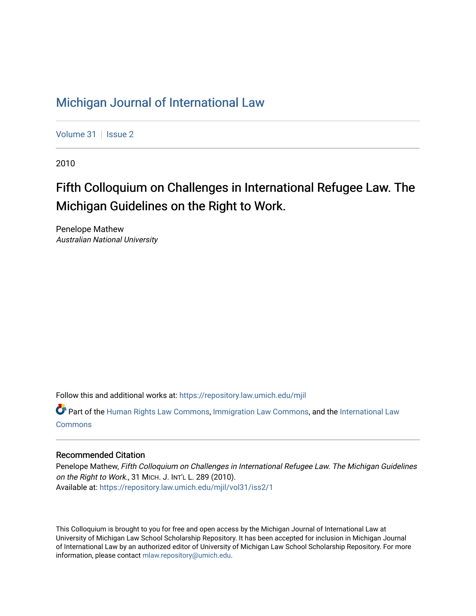# [Michigan Journal of International Law](https://repository.law.umich.edu/mjil)

[Volume 31](https://repository.law.umich.edu/mjil/vol31) | [Issue 2](https://repository.law.umich.edu/mjil/vol31/iss2)

2010

# Fifth Colloquium on Challenges in International Refugee Law. The Michigan Guidelines on the Right to Work.

Penelope Mathew Australian National University

Follow this and additional works at: [https://repository.law.umich.edu/mjil](https://repository.law.umich.edu/mjil?utm_source=repository.law.umich.edu%2Fmjil%2Fvol31%2Fiss2%2F1&utm_medium=PDF&utm_campaign=PDFCoverPages) 

Part of the [Human Rights Law Commons,](http://network.bepress.com/hgg/discipline/847?utm_source=repository.law.umich.edu%2Fmjil%2Fvol31%2Fiss2%2F1&utm_medium=PDF&utm_campaign=PDFCoverPages) [Immigration Law Commons](http://network.bepress.com/hgg/discipline/604?utm_source=repository.law.umich.edu%2Fmjil%2Fvol31%2Fiss2%2F1&utm_medium=PDF&utm_campaign=PDFCoverPages), and the [International Law](http://network.bepress.com/hgg/discipline/609?utm_source=repository.law.umich.edu%2Fmjil%2Fvol31%2Fiss2%2F1&utm_medium=PDF&utm_campaign=PDFCoverPages)  [Commons](http://network.bepress.com/hgg/discipline/609?utm_source=repository.law.umich.edu%2Fmjil%2Fvol31%2Fiss2%2F1&utm_medium=PDF&utm_campaign=PDFCoverPages)

### Recommended Citation

Penelope Mathew, Fifth Colloquium on Challenges in International Refugee Law. The Michigan Guidelines on the Right to Work., 31 MICH. J. INT'L L. 289 (2010). Available at: [https://repository.law.umich.edu/mjil/vol31/iss2/1](https://repository.law.umich.edu/mjil/vol31/iss2/1?utm_source=repository.law.umich.edu%2Fmjil%2Fvol31%2Fiss2%2F1&utm_medium=PDF&utm_campaign=PDFCoverPages) 

This Colloquium is brought to you for free and open access by the Michigan Journal of International Law at University of Michigan Law School Scholarship Repository. It has been accepted for inclusion in Michigan Journal of International Law by an authorized editor of University of Michigan Law School Scholarship Repository. For more information, please contact [mlaw.repository@umich.edu](mailto:mlaw.repository@umich.edu).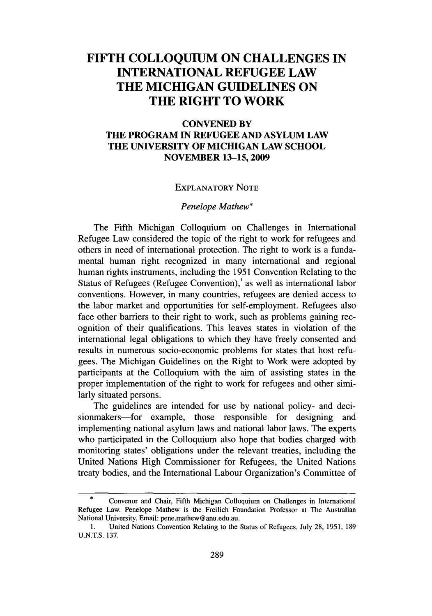## **FIFTH COLLOQUIUM ON CHALLENGES IN INTERNATIONAL REFUGEE LAW THE MICHIGAN GUIDELINES ON THE RIGHT TO WORK**

### **CONVENED BY THE PROGRAM IN REFUGEE AND ASYLUM LAW THE UNIVERSITY OF MICHIGAN LAW SCHOOL NOVEMBER 13-15,2009**

#### EXPLANATORY **NOTE**

#### *Penelope Mathew\**

The Fifth Michigan Colloquium on Challenges in International Refugee Law considered the topic of the right to work for refugees and others in need of international protection. The right to work is a fundamental human right recognized in many international and regional human rights instruments, including the **1951** Convention Relating to the Status of Refugees (Refugee Convention),' as well as international labor conventions. However, in many countries, refugees are denied access to the labor market and opportunities for self-employment. Refugees also face other barriers to their right to work, such as problems gaining recognition of their qualifications. This leaves states in violation of the international legal obligations to which they have freely consented and results in numerous socio-economic problems for states that host refugees. The Michigan Guidelines on the Right to Work were adopted **by** participants at the Colloquium with the aim of assisting states in the proper implementation of the right to work for refugees and other similarly situated persons.

The guidelines are intended for use **by** national policy- and decisionmakers—for example, those responsible for designing and implementing national asylum laws and national labor laws. The experts who participated in the Colloquium also hope that bodies charged with monitoring states' obligations under the relevant treaties, including the United Nations High Commissioner for Refugees, the United Nations treaty bodies, and the International Labour Organization's Committee of

**<sup>\*</sup>** Convenor and Chair, Fifth Michigan Colloquium on Challenges in International Refugee Law. Penelope Mathew is the Freilich Foundation Professor at The Australian National University. Email: pene.mathew@anu.edu.au.

**<sup>1.</sup>** United Nations Convention Relating **to** the Status of Refugees, July **28, 1951, 189 U.N.T.S. 137.**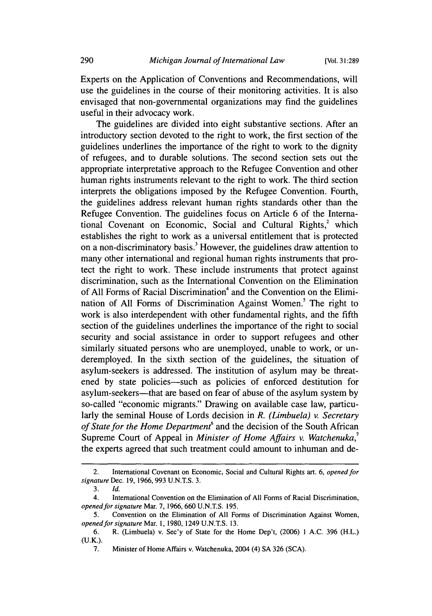Experts on the Application of Conventions and Recommendations, will use the guidelines in the course of their monitoring activities. It is also envisaged that non-governmental organizations may find the guidelines useful in their advocacy work.

The guidelines are divided into eight substantive sections. After an introductory section devoted to the right to work, the first section of the guidelines underlines the importance of the right to work to the dignity of refugees, and to durable solutions. The second section sets out the appropriate interpretative approach to the Refugee Convention and other human rights instruments relevant to the right to work. The third section interprets the obligations imposed by the Refugee Convention. Fourth, the guidelines address relevant human rights standards other than the Refugee Convention. The guidelines focus on Article 6 of the International Covenant on Economic, Social and Cultural Rights, $2$  which establishes the right to work as a universal entitlement that is protected on a non-discriminatory basis.' However, the guidelines draw attention to many other international and regional human rights instruments that protect the right to work. These include instruments that protect against discrimination, such as the International Convention on the Elimination of All Forms of Racial Discrimination<sup>4</sup> and the Convention on the Elimination of All Forms of Discrimination Against Women.<sup>5</sup> The right to work is also interdependent with other fundamental rights, and the fifth section of the guidelines underlines the importance of the right to social security and social assistance in order to support refugees and other similarly situated persons who are unemployed, unable to work, or underemployed. In the sixth section of the guidelines, the situation of asylum-seekers is addressed. The institution of asylum may be threatened by state policies-such as policies of enforced destitution for asylum-seekers—that are based on fear of abuse of the asylum system by so-called "economic migrants." Drawing on available case law, particularly the seminal House of Lords decision in *R. (Limbuela) v. Secretary of State for the Home Department*<sup>6</sup> and the decision of the South African Supreme Court of Appeal in *Minister of Home Affairs v. Watchenuka*,<sup>7</sup> the experts agreed that such treatment could amount to inhuman and de-

<sup>2.</sup> International Covenant on Economic, Social and Cultural Rights art. 6, *opened for signature* Dec. 19, 1966,993 U.N.T.S. 3.

<sup>3.</sup> *Id.*

<sup>4.</sup> International Convention on the Elimination of All Forms of Racial Discrimination, *opened for signature* Mar. 7, 1966, 660 U.N.T.S. 195.

<sup>5.</sup> Convention on the Elimination of All Forms of Discrimination Against Women, *opened for signature* Mar. **1,** 1980, 1249 U.N.T.S. 13.

<sup>6.</sup> R. (Limbuela) v. Sec'y of State for the Home Dep't, (2006) 1 A.C. 396 (H.L.) (U.K.).

<sup>7.</sup> Minister of Home Affairs v. Watchenuka, 2004 (4) SA 326 (SCA).